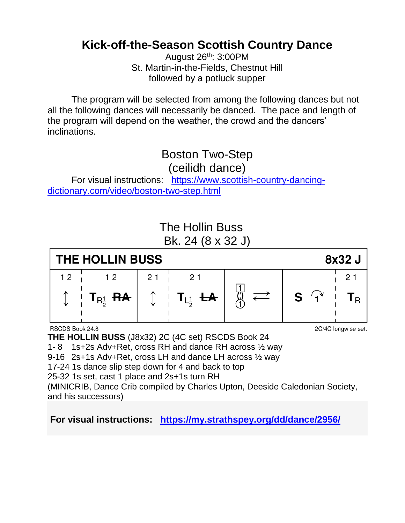## **Kick-off-the-Season Scottish Country Dance**

August 26th: 3:00PM St. Martin-in-the-Fields, Chestnut Hill followed by a potluck supper

The program will be selected from among the following dances but not all the following dances will necessarily be danced. The pace and length of the program will depend on the weather, the crowd and the dancers' inclinations.

#### Boston Two-Step (ceilidh dance)

For visual instructions: [https://www.scottish-country-dancing](https://www.scottish-country-dancing-dictionary.com/video/boston-two-step.html)[dictionary.com/video/boston-two-step.html](https://www.scottish-country-dancing-dictionary.com/video/boston-two-step.html)



**THE HOLLIN BUSS** (J8x32) 2C (4C set) RSCDS Book 24 1- 8 1s+2s Adv+Ret, cross RH and dance RH across ½ way 9-16 2s+1s Adv+Ret, cross LH and dance LH across ½ way 17-24 1s dance slip step down for 4 and back to top 25-32 1s set, cast 1 place and 2s+1s turn RH (MINICRIB, Dance Crib compiled by Charles Upton, Deeside Caledonian Society, and his successors)

#### **For visual instructions: <https://my.strathspey.org/dd/dance/2956/>**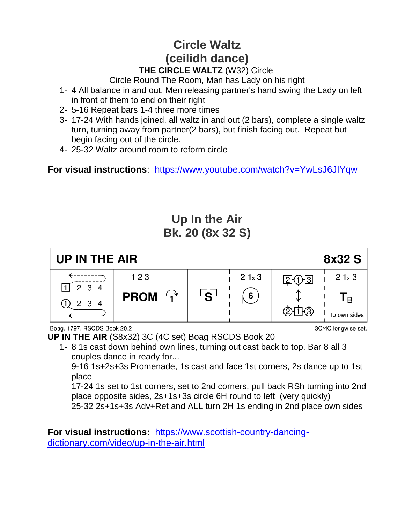#### **Circle Waltz (ceilidh dance) THE CIRCLE WALTZ** (W32) Circle

Circle Round The Room, Man has Lady on his right

- 1- 4 All balance in and out, Men releasing partner's hand swing the Lady on left in front of them to end on their right
- 2- 5-16 Repeat bars 1-4 three more times
- 3- 17-24 With hands joined, all waltz in and out (2 bars), complete a single waltz turn, turning away from partner(2 bars), but finish facing out. Repeat but begin facing out of the circle.
- 4- 25-32 Waltz around room to reform circle

**For visual instructions**: <https://www.youtube.com/watch?v=YwLsJ6JIYqw>

## **Up In the Air Bk. 20 (8x 32 S)**



Boag, 1797, RSCDS Book 20.2

**UP IN THE AIR** (S8x32) 3C (4C set) Boag RSCDS Book 20

1- 8 1s cast down behind own lines, turning out cast back to top. Bar 8 all 3 couples dance in ready for...

9-16 1s+2s+3s Promenade, 1s cast and face 1st corners, 2s dance up to 1st place

17-24 1s set to 1st corners, set to 2nd corners, pull back RSh turning into 2nd place opposite sides, 2s+1s+3s circle 6H round to left (very quickly) 25-32 2s+1s+3s Adv+Ret and ALL turn 2H 1s ending in 2nd place own sides

**For visual instructions:** [https://www.scottish-country-dancing](https://www.scottish-country-dancing-dictionary.com/video/up-in-the-air.html)[dictionary.com/video/up-in-the-air.html](https://www.scottish-country-dancing-dictionary.com/video/up-in-the-air.html)

3C/4C longwise set.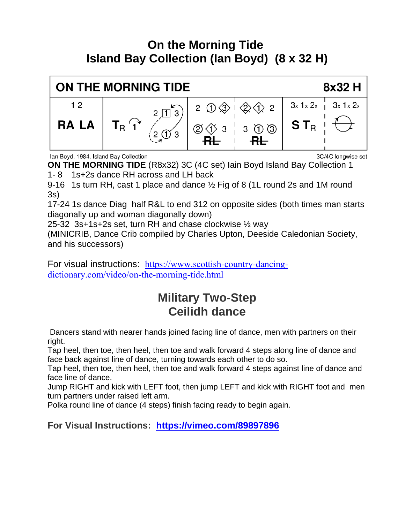### **On the Morning Tide Island Bay Collection (Ian Boyd) (8 x 32 H)**



Ian Boyd, 1984, Island Bay Collection

3C/4C longwise set

**ON THE MORNING TIDE** (R8x32) 3C (4C set) Iain Boyd Island Bay Collection 1 1- 8 1s+2s dance RH across and LH back

9-16 1s turn RH, cast 1 place and dance ½ Fig of 8 (1L round 2s and 1M round 3s)

17-24 1s dance Diag half R&L to end 312 on opposite sides (both times man starts diagonally up and woman diagonally down)

25-32 3s+1s+2s set, turn RH and chase clockwise ½ way

(MINICRIB, Dance Crib compiled by Charles Upton, Deeside Caledonian Society, and his successors)

For visual instructions: [https://www.scottish-country-dancing](https://www.scottish-country-dancing-dictionary.com/video/on-the-morning-tide.html)[dictionary.com/video/on-the-morning-tide.html](https://www.scottish-country-dancing-dictionary.com/video/on-the-morning-tide.html)

# **Military Two-Step Ceilidh dance**

Dancers stand with nearer hands joined facing line of dance, men with partners on their right.

Tap heel, then toe, then heel, then toe and walk forward 4 steps along line of dance and face back against line of dance, turning towards each other to do so.

Tap heel, then toe, then heel, then toe and walk forward 4 steps against line of dance and face line of dance.

Jump RIGHT and kick with LEFT foot, then jump LEFT and kick with RIGHT foot and men turn partners under raised left arm.

Polka round line of dance (4 steps) finish facing ready to begin again.

**For Visual Instructions: <https://vimeo.com/89897896>**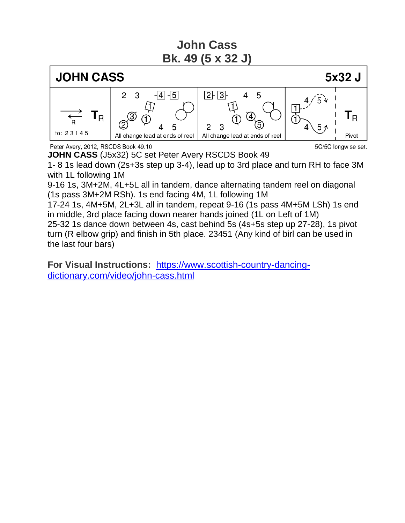**John Cass Bk. 49 (5 x 32 J)**



Peter Avery, 2012, RSCDS Book 49.10

5C/5C longwise set.

**JOHN CASS** (J5x32) 5C set Peter Avery RSCDS Book 49 1- 8 1s lead down (2s+3s step up 3-4), lead up to 3rd place and turn RH to face 3M with 1L following 1M

9-16 1s, 3M+2M, 4L+5L all in tandem, dance alternating tandem reel on diagonal (1s pass 3M+2M RSh). 1s end facing 4M, 1L following 1M

17-24 1s, 4M+5M, 2L+3L all in tandem, repeat 9-16 (1s pass 4M+5M LSh) 1s end in middle, 3rd place facing down nearer hands joined (1L on Left of 1M)

25-32 1s dance down between 4s, cast behind 5s (4s+5s step up 27-28), 1s pivot turn (R elbow grip) and finish in 5th place. 23451 (Any kind of birl can be used in the last four bars)

**For Visual Instructions:** [https://www.scottish-country-dancing](https://www.scottish-country-dancing-dictionary.com/video/john-cass.html)[dictionary.com/video/john-cass.html](https://www.scottish-country-dancing-dictionary.com/video/john-cass.html)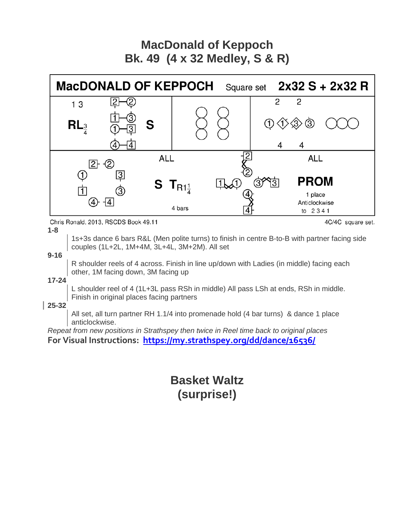### **MacDonald of Keppoch Bk. 49 (4 x 32 Medley, S & R)**



Chris Ronald, 2013, RSCDS Book 49.11

**1-8**

4C/4C square set.

1s+3s dance 6 bars R&L (Men polite turns) to finish in centre B-to-B with partner facing side couples (1L+2L, 1M+4M, 3L+4L, 3M+2M). All set

**9-16**

R shoulder reels of 4 across. Finish in line up/down with Ladies (in middle) facing each other, 1M facing down, 3M facing up

**17-24**

L shoulder reel of 4 (1L+3L pass RSh in middle) All pass LSh at ends, RSh in middle. Finish in original places facing partners

**25-32**

All set, all turn partner RH 1.1/4 into promenade hold (4 bar turns) & dance 1 place anticlockwise.

*Repeat from new positions in Strathspey then twice in Reel time back to original places* **For Visual Instructions: <https://my.strathspey.org/dd/dance/16536/>**

> **Basket Waltz (surprise!)**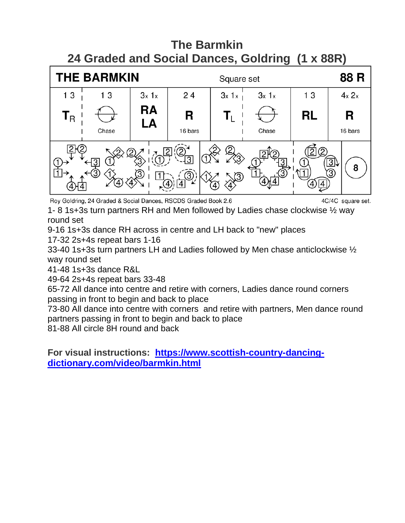# **The Barmkin 24 Graded and Social Dances, Goldring (1 x 88R)**



Roy Goldring, 24 Graded & Social Dances, RSCDS Graded Book 2.6

4C/4C square set.

1- 8 1s+3s turn partners RH and Men followed by Ladies chase clockwise ½ way round set

9-16 1s+3s dance RH across in centre and LH back to "new" places 17-32 2s+4s repeat bars 1-16

33-40 1s+3s turn partners LH and Ladies followed by Men chase anticlockwise ½ way round set

41-48 1s+3s dance R&L

49-64 2s+4s repeat bars 33-48

65-72 All dance into centre and retire with corners, Ladies dance round corners passing in front to begin and back to place

73-80 All dance into centre with corners and retire with partners, Men dance round partners passing in front to begin and back to place

81-88 All circle 8H round and back

**For visual instructions: [https://www.scottish-country-dancing](https://www.scottish-country-dancing-dictionary.com/video/barmkin.html)[dictionary.com/video/barmkin.html](https://www.scottish-country-dancing-dictionary.com/video/barmkin.html)**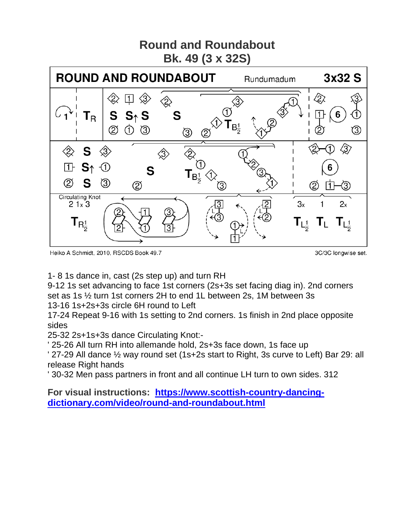

Heiko A Schmidt, 2010, RSCDS Book 49.7

3C/3C longwise set.

1- 8 1s dance in, cast (2s step up) and turn RH

9-12 1s set advancing to face 1st corners (2s+3s set facing diag in). 2nd corners set as 1s ½ turn 1st corners 2H to end 1L between 2s, 1M between 3s 13-16 1s+2s+3s circle 6H round to Left

17-24 Repeat 9-16 with 1s setting to 2nd corners. 1s finish in 2nd place opposite sides

25-32 2s+1s+3s dance Circulating Knot:-

' 25-26 All turn RH into allemande hold, 2s+3s face down, 1s face up

' 27-29 All dance ½ way round set (1s+2s start to Right, 3s curve to Left) Bar 29: all release Right hands

' 30-32 Men pass partners in front and all continue LH turn to own sides. 312

**For visual instructions: [https://www.scottish-country-dancing](https://www.scottish-country-dancing-dictionary.com/video/round-and-roundabout.html)[dictionary.com/video/round-and-roundabout.html](https://www.scottish-country-dancing-dictionary.com/video/round-and-roundabout.html)**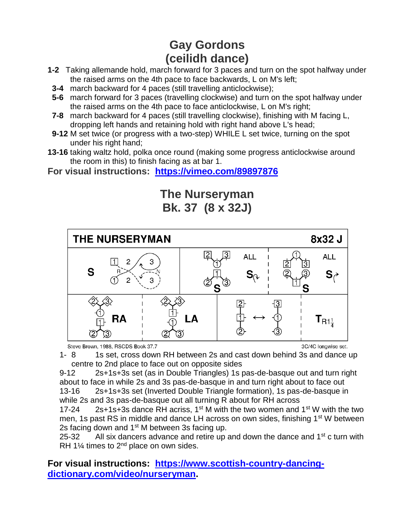# **Gay Gordons (ceilidh dance)**

- **1-2** Taking allemande hold, march forward for 3 paces and turn on the spot halfway under the raised arms on the 4th pace to face backwards, L on M's left;
- **3-4** march backward for 4 paces (still travelling anticlockwise);
- **5-6** march forward for 3 paces (travelling clockwise) and turn on the spot halfway under the raised arms on the 4th pace to face anticlockwise, L on M's right;
- **7-8** march backward for 4 paces (still travelling clockwise), finishing with M facing L, dropping left hands and retaining hold with right hand above L's head;
- **9-12** M set twice (or progress with a two-step) WHILE L set twice, turning on the spot under his right hand;
- **13-16** taking waltz hold, polka once round (making some progress anticlockwise around the room in this) to finish facing as at bar 1.
- **For visual instructions: <https://vimeo.com/89897876>**







3C/4C longwise set.

1- 8 1s set, cross down RH between 2s and cast down behind 3s and dance up centre to 2nd place to face out on opposite sides

9-12 2s+1s+3s set (as in Double Triangles) 1s pas-de-basque out and turn right about to face in while 2s and 3s pas-de-basque in and turn right about to face out 13-16 2s+1s+3s set (Inverted Double Triangle formation), 1s pas-de-basque in while 2s and 3s pas-de-basque out all turning R about for RH across

17-24 2s+1s+3s dance RH acriss,  $1^{st}$  M with the two women and  $1^{st}$  W with the two men, 1s past RS in middle and dance LH across on own sides, finishing 1<sup>st</sup> W between 2s facing down and 1<sup>st</sup> M between 3s facing up.

25-32 All six dancers advance and retire up and down the dance and  $1<sup>st</sup>$  c turn with RH 1 $\frac{1}{4}$  times to 2<sup>nd</sup> place on own sides.

#### **For visual instructions: [https://www.scottish-country-dancing](https://www.scottish-country-dancing-dictionary.com/video/nurseryman)[dictionary.com/video/nurseryman.](https://www.scottish-country-dancing-dictionary.com/video/nurseryman)**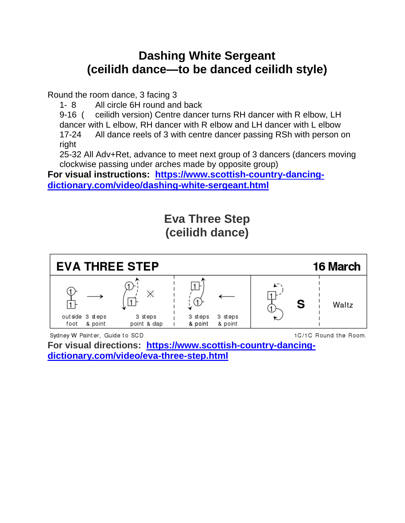### **Dashing White Sergeant (ceilidh dance—to be danced ceilidh style)**

Round the room dance, 3 facing 3

1- 8 All circle 6H round and back

9-16 ( ceilidh version) Centre dancer turns RH dancer with R elbow, LH dancer with L elbow, RH dancer with R elbow and LH dancer with L elbow 17-24 All dance reels of 3 with centre dancer passing RSh with person on right

25-32 All Adv+Ret, advance to meet next group of 3 dancers (dancers moving clockwise passing under arches made by opposite group)

**For visual instructions: [https://www.scottish-country-dancing](https://www.scottish-country-dancing-dictionary.com/video/dashing-white-sergeant.html)[dictionary.com/video/dashing-white-sergeant.html](https://www.scottish-country-dancing-dictionary.com/video/dashing-white-sergeant.html)**

> **Eva Three Step (ceilidh dance)**



Sydney W Painter, Guide to SCD

1C/1C Round the Room.

**For visual directions: [https://www.scottish-country-dancing](https://www.scottish-country-dancing-dictionary.com/video/eva-three-step.html)[dictionary.com/video/eva-three-step.html](https://www.scottish-country-dancing-dictionary.com/video/eva-three-step.html)**